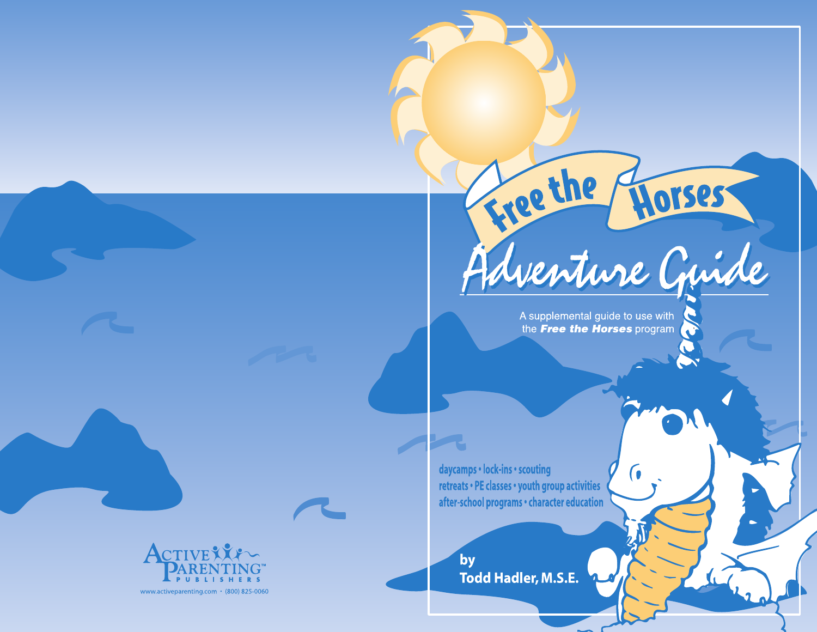

**6** 

Greethe Großes

daycamps · lock-ins · scouting retreats . PE classes . youth group activities after-school programs · character education

> by Todd Hadler, M.S.E.

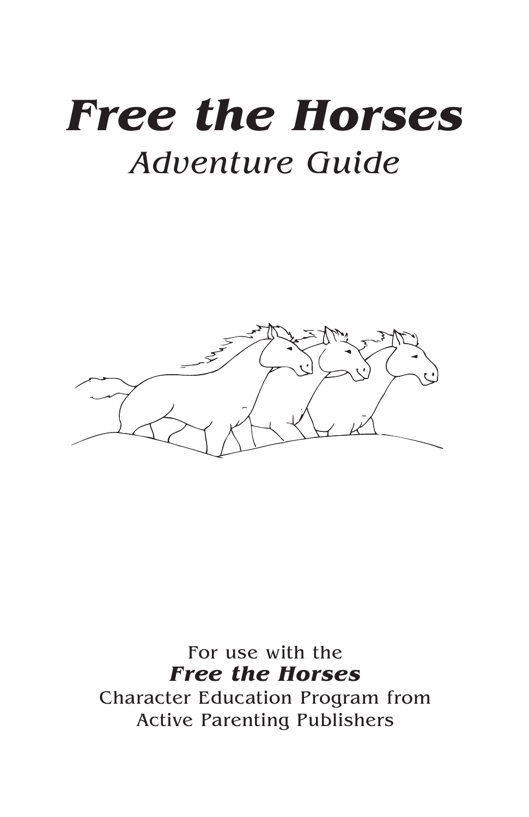# *Free the Horses Adventure Guide*



For use with the *Free the Horses* Character Education Program from Active Parenting Publishers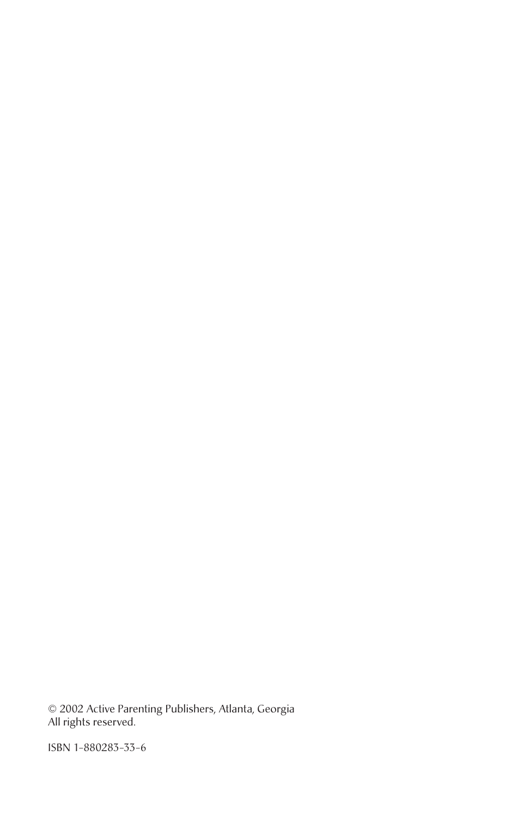© 2002 Active Parenting Publishers, Atlanta, Georgia All rights reserved.

ISBN 1-880283-33-6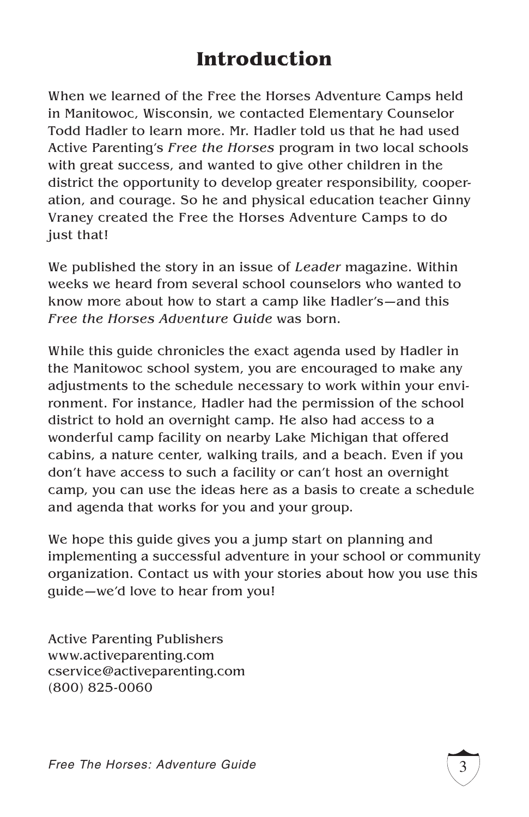## **Introduction**

When we learned of the Free the Horses Adventure Camps held in Manitowoc, Wisconsin, we contacted Elementary Counselor Todd Hadler to learn more. Mr. Hadler told us that he had used Active Parenting's *Free the Horses* program in two local schools with great success, and wanted to give other children in the district the opportunity to develop greater responsibility, cooperation, and courage. So he and physical education teacher Ginny Vraney created the Free the Horses Adventure Camps to do just that!

We published the story in an issue of *Leader* magazine. Within weeks we heard from several school counselors who wanted to know more about how to start a camp like Hadler's—and this *Free the Horses Adventure Guide* was born.

While this guide chronicles the exact agenda used by Hadler in the Manitowoc school system, you are encouraged to make any adjustments to the schedule necessary to work within your environment. For instance, Hadler had the permission of the school district to hold an overnight camp. He also had access to a wonderful camp facility on nearby Lake Michigan that offered cabins, a nature center, walking trails, and a beach. Even if you don't have access to such a facility or can't host an overnight camp, you can use the ideas here as a basis to create a schedule and agenda that works for you and your group.

We hope this guide gives you a jump start on planning and implementing a successful adventure in your school or community organization. Contact us with your stories about how you use this guide—we'd love to hear from you!

Active Parenting Publishers www.activeparenting.com cservice@activeparenting.com (800) 825-0060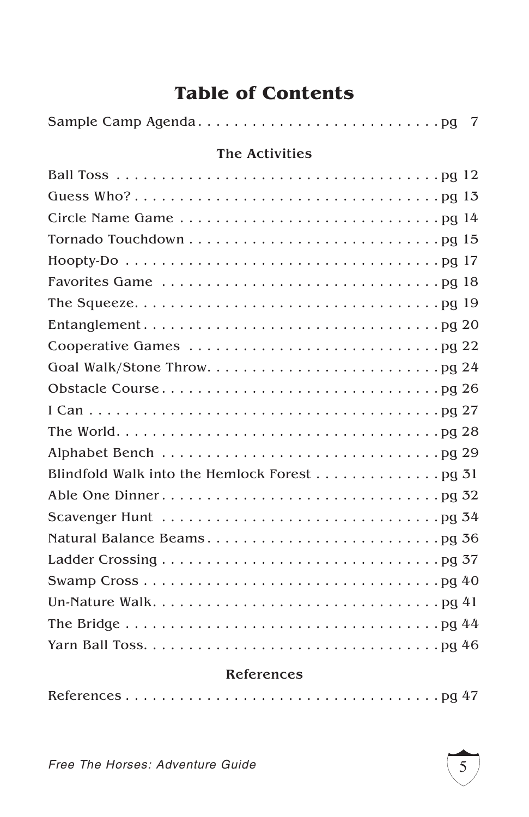### **Table of Contents**

| The Activities                                                                   |
|----------------------------------------------------------------------------------|
|                                                                                  |
|                                                                                  |
| Circle Name Game $\dots \dots \dots \dots \dots \dots \dots \dots \dots$ . pg 14 |
|                                                                                  |
|                                                                                  |
|                                                                                  |
|                                                                                  |
|                                                                                  |
|                                                                                  |
|                                                                                  |
|                                                                                  |
|                                                                                  |
|                                                                                  |
|                                                                                  |
| Blindfold Walk into the Hemlock Forest 99 31                                     |
|                                                                                  |
|                                                                                  |
| Natural Balance Beamspg 36                                                       |
|                                                                                  |
|                                                                                  |
|                                                                                  |
|                                                                                  |
|                                                                                  |
| References                                                                       |

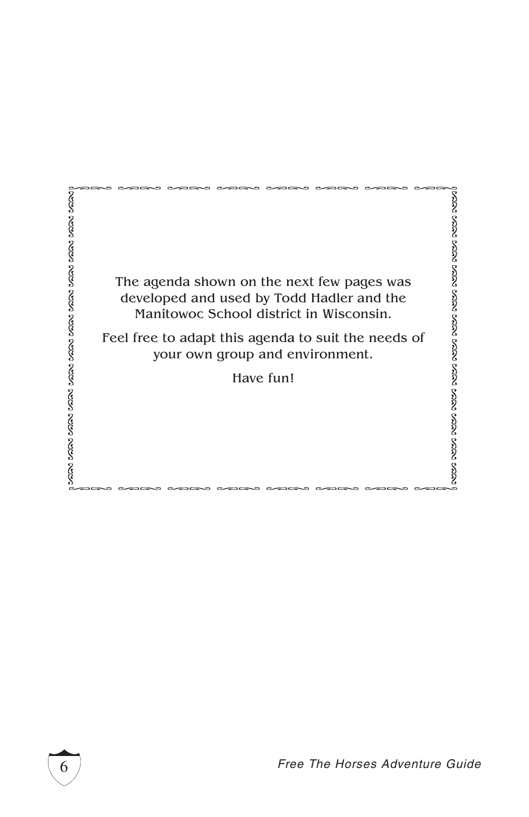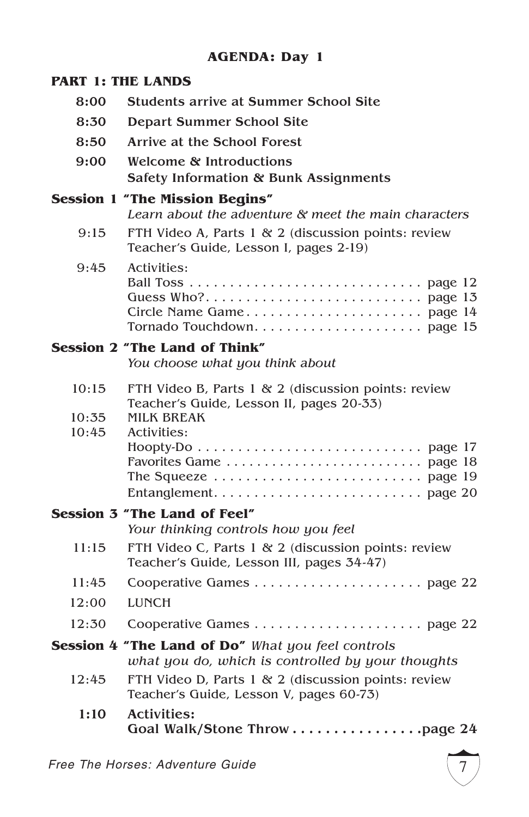#### **AGENDA: Day 1**

#### **PART 1: THE LANDS**

| 8:00  | <b>Students arrive at Summer School Site</b>                                                                  |
|-------|---------------------------------------------------------------------------------------------------------------|
| 8:30  | Depart Summer School Site                                                                                     |
| 8:50  | Arrive at the School Forest                                                                                   |
| 9:00  | Welcome & Introductions<br>Safety Information & Bunk Assignments                                              |
|       | <b>Session 1 "The Mission Begins"</b>                                                                         |
|       | Learn about the adventure & meet the main characters                                                          |
| 9:15  | FTH Video A, Parts 1 & 2 (discussion points: review<br>Teacher's Guide, Lesson I, pages 2-19)                 |
| 9:45  | Activities:                                                                                                   |
|       | Session 2 "The Land of Think"                                                                                 |
|       | You choose what you think about                                                                               |
| 10:15 | FTH Video B, Parts 1 & 2 (discussion points: review<br>Teacher's Guide, Lesson II, pages 20-33)               |
| 10:35 | <b>MILK BREAK</b>                                                                                             |
| 10:45 | Activities:                                                                                                   |
|       | Session 3 "The Land of Feel"                                                                                  |
|       | Your thinking controls how you feel                                                                           |
| 11:15 | FTH Video C, Parts 1 & 2 (discussion points: review<br>Teacher's Guide, Lesson III, pages 34-47)              |
| 11:45 |                                                                                                               |
| 12:00 | LUNCH                                                                                                         |
| 12:30 |                                                                                                               |
|       | <b>Session 4 "The Land of Do"</b> What you feel controls<br>what you do, which is controlled by your thoughts |
| 12:45 | FTH Video D, Parts 1 & 2 (discussion points: review<br>Teacher's Guide, Lesson V, pages 60-73)                |
| 1:10  | <b>Activities:</b><br>Goal Walk/Stone Throw page 24                                                           |



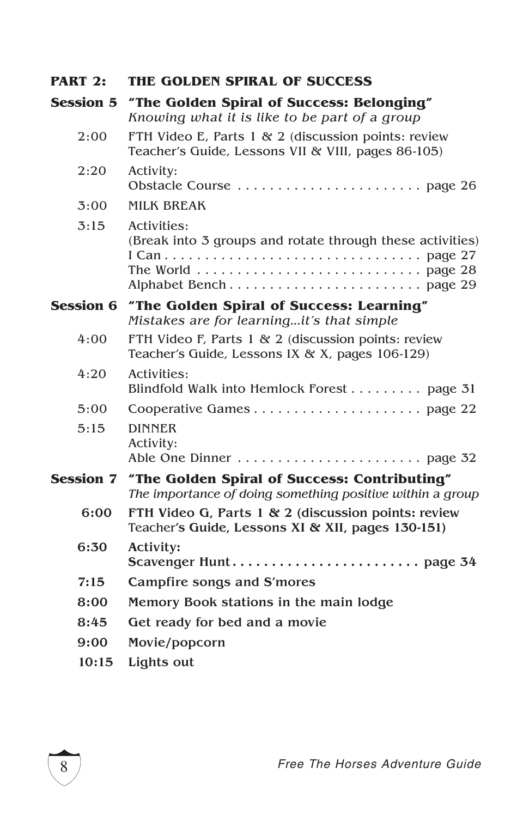| <b>PART 2:</b>   | THE GOLDEN SPIRAL OF SUCCESS                                                                              |
|------------------|-----------------------------------------------------------------------------------------------------------|
| <b>Session 5</b> | "The Golden Spiral of Success: Belonging"<br>Knowing what it is like to be part of a group                |
| 2:00             | FTH Video E, Parts 1 & 2 (discussion points: review<br>Teacher's Guide, Lessons VII & VIII, pages 86-105) |
| 2:20             | Activity:                                                                                                 |
| 3:00             | <b>MILK BREAK</b>                                                                                         |
| 3:15             | Activities:<br>(Break into 3 groups and rotate through these activities)                                  |
| <b>Session 6</b> | "The Golden Spiral of Success: Learning"<br>Mistakes are for learningit's that simple                     |
| 4:00             | FTH Video F, Parts 1 & 2 (discussion points: review<br>Teacher's Guide, Lessons IX & X, pages 106-129)    |
| 4:20             | Activities:<br>Blindfold Walk into Hemlock Forest page 31                                                 |
| 5:00             |                                                                                                           |
| 5:15             | <b>DINNER</b><br>Activity:                                                                                |
| <b>Session 7</b> | "The Golden Spiral of Success: Contributing"<br>The importance of doing something positive within a group |
| 6:00             | FTH Video G, Parts 1 & 2 (discussion points: review<br>Teacher's Guide, Lessons XI & XII, pages 130-151)  |
| 6:30             | <b>Activity:</b>                                                                                          |
| 7:15             | Campfire songs and S'mores                                                                                |
| 8:00             | Memory Book stations in the main lodge                                                                    |
| 8:45             | Get ready for bed and a movie                                                                             |
| 9:00             | Movie/popcorn                                                                                             |
| 10:15            | Lights out                                                                                                |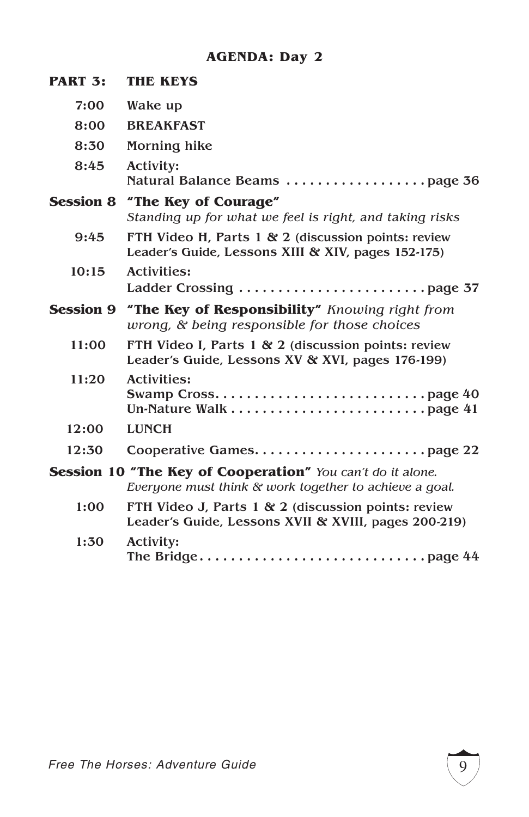| <b>PART 3:</b>   | <b>THE KEYS</b>                                                                                                      |
|------------------|----------------------------------------------------------------------------------------------------------------------|
| 7:00             | Wake up                                                                                                              |
| 8:00             | <b>BREAKFAST</b>                                                                                                     |
| 8:30             | Morning hike                                                                                                         |
| 8:45             | <b>Activity:</b>                                                                                                     |
|                  | <b>Session 8 "The Key of Courage"</b><br>Standing up for what we feel is right, and taking risks                     |
| 9:45             | FTH Video H, Parts 1 & 2 (discussion points: review<br>Leader's Guide, Lessons XIII & XIV, pages 152-175)            |
| 10:15            | Activities:                                                                                                          |
| <b>Session 9</b> | "The Key of Responsibility" Knowing right from<br>wrong, & being responsible for those choices                       |
| 11:00            | FTH Video I, Parts 1 & 2 (discussion points: review<br>Leader's Guide, Lessons XV & XVI, pages 176-199)              |
| 11:20            | <b>Activities:</b><br>Swamp Crosspage 40                                                                             |
| 12:00            | <b>LUNCH</b>                                                                                                         |
| 12:30            |                                                                                                                      |
|                  | Session 10 "The Key of Cooperation" You can't do it alone.<br>Everyone must think & work together to achieve a goal. |
| 1:00             | FTH Video J, Parts 1 & 2 (discussion points: review<br>Leader's Guide, Lessons XVII & XVIII, pages 200-219)          |
| 1:30             | <b>Activity:</b>                                                                                                     |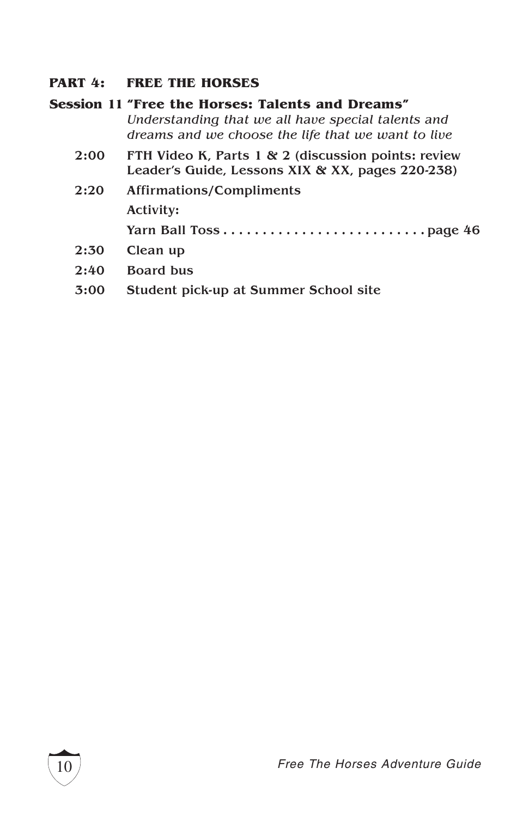#### **PART 4: FREE THE HORSES**

|      | Session 11 "Free the Horses: Talents and Dreams"<br>Understanding that we all have special talents and<br>dreams and we choose the life that we want to live |
|------|--------------------------------------------------------------------------------------------------------------------------------------------------------------|
| 2:00 | FTH Video K, Parts 1 & 2 (discussion points: review<br>Leader's Guide, Lessons XIX & XX, pages 220-238)                                                      |
| 2:20 | Affirmations/Compliments                                                                                                                                     |
|      | <b>Activity:</b>                                                                                                                                             |
|      |                                                                                                                                                              |
| 2:30 | Clean up                                                                                                                                                     |
| 2:40 | <b>Board bus</b>                                                                                                                                             |
| 3:00 | Student pick-up at Summer School site                                                                                                                        |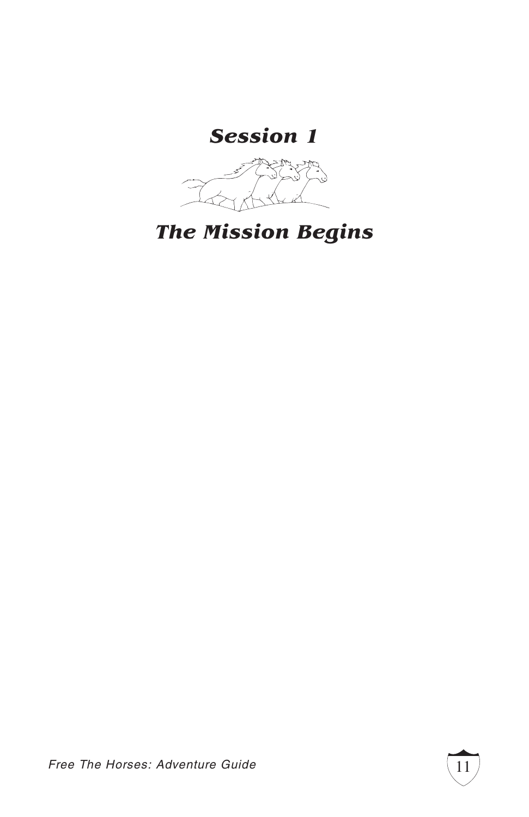

# *The Mission Begins*

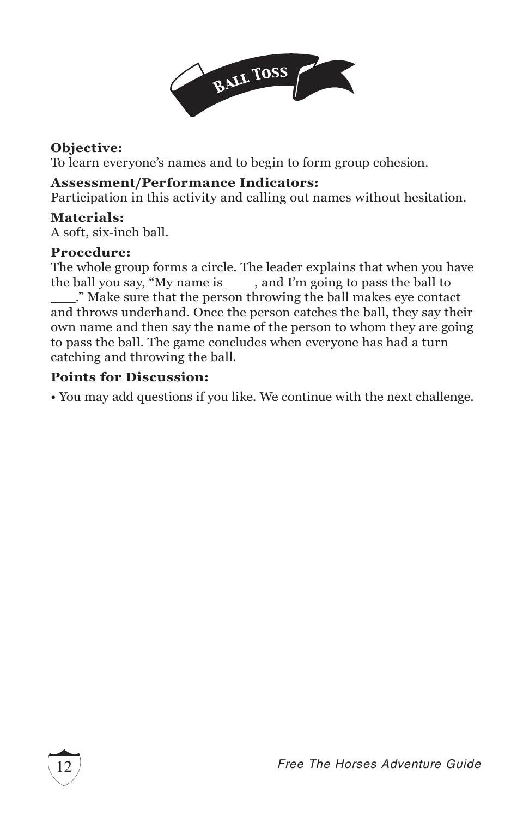

To learn everyone's names and to begin to form group cohesion.

#### **Assessment/Performance Indicators:**

Participation in this activity and calling out names without hesitation.

#### **Materials:**

A soft, six-inch ball.

#### **Procedure:**

The whole group forms a circle. The leader explains that when you have the ball you say, "My name is \_\_\_\_, and I'm going to pass the ball to ." Make sure that the person throwing the ball makes eye contact

and throws underhand. Once the person catches the ball, they say their own name and then say the name of the person to whom they are going to pass the ball. The game concludes when everyone has had a turn catching and throwing the ball.

#### **Points for Discussion:**

• You may add questions if you like. We continue with the next challenge.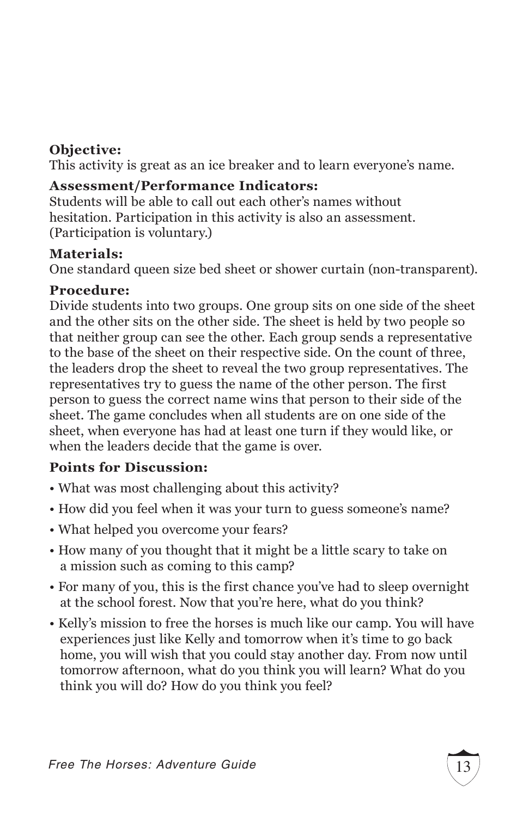This activity is great as an ice breaker and to learn everyone's name.

#### **Assessment/Performance Indicators:**

Students will be able to call out each other's names without hesitation. Participation in this activity is also an assessment. (Participation is voluntary.)

#### **Materials:**

One standard queen size bed sheet or shower curtain (non-transparent).

#### **Procedure:**

Divide students into two groups. One group sits on one side of the sheet and the other sits on the other side. The sheet is held by two people so that neither group can see the other. Each group sends a representative to the base of the sheet on their respective side. On the count of three, the leaders drop the sheet to reveal the two group representatives. The representatives try to guess the name of the other person. The first person to guess the correct name wins that person to their side of the sheet. The game concludes when all students are on one side of the sheet, when everyone has had at least one turn if they would like, or when the leaders decide that the game is over.

- What was most challenging about this activity?
- How did you feel when it was your turn to guess someone's name?
- What helped you overcome your fears?
- How many of you thought that it might be a little scary to take on a mission such as coming to this camp?
- For many of you, this is the first chance you've had to sleep overnight at the school forest. Now that you're here, what do you think?
- Kelly's mission to free the horses is much like our camp. You will have experiences just like Kelly and tomorrow when it's time to go back home, you will wish that you could stay another day. From now until tomorrow afternoon, what do you think you will learn? What do you think you will do? How do you think you feel?

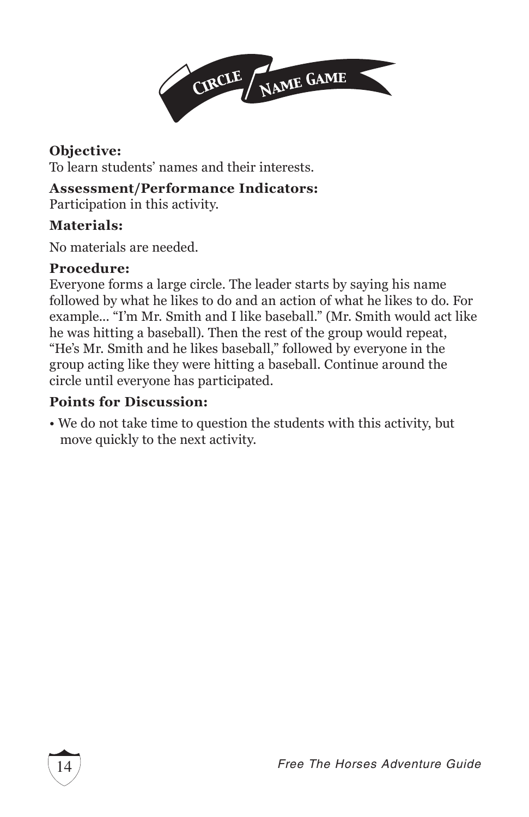

**Objective:** To learn students' names and their interests.

**Assessment/Performance Indicators:** Participation in this activity.

#### **Materials:**

No materials are needed.

#### **Procedure:**

Everyone forms a large circle. The leader starts by saying his name followed by what he likes to do and an action of what he likes to do. For example... "I'm Mr. Smith and I like baseball." (Mr. Smith would act like he was hitting a baseball). Then the rest of the group would repeat, "He's Mr. Smith and he likes baseball," followed by everyone in the group acting like they were hitting a baseball. Continue around the circle until everyone has participated.

#### **Points for Discussion:**

• We do not take time to question the students with this activity, but move quickly to the next activity.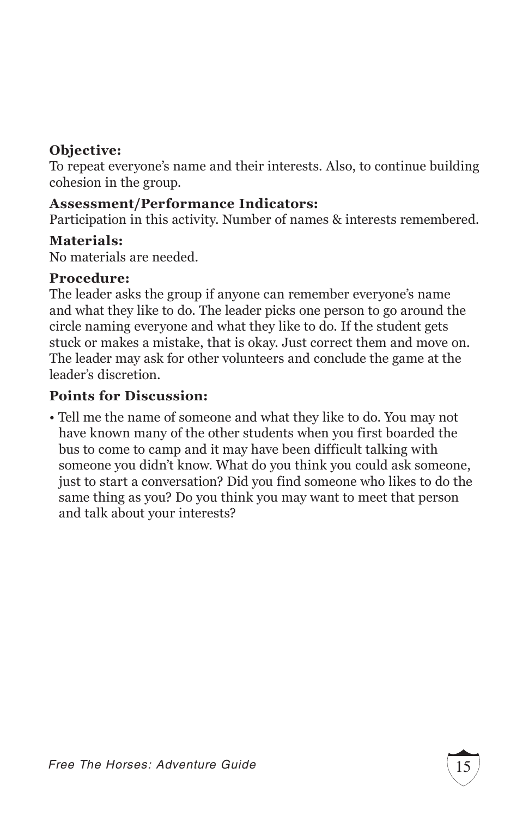To repeat everyone's name and their interests. Also, to continue building cohesion in the group.

#### **Assessment/Performance Indicators:**

Participation in this activity. Number of names & interests remembered.

#### **Materials:**

No materials are needed.

#### **Procedure:**

The leader asks the group if anyone can remember everyone's name and what they like to do. The leader picks one person to go around the circle naming everyone and what they like to do. If the student gets stuck or makes a mistake, that is okay. Just correct them and move on. The leader may ask for other volunteers and conclude the game at the leader's discretion.

#### **Points for Discussion:**

• Tell me the name of someone and what they like to do. You may not have known many of the other students when you first boarded the bus to come to camp and it may have been difficult talking with someone you didn't know. What do you think you could ask someone, just to start a conversation? Did you find someone who likes to do the same thing as you? Do you think you may want to meet that person and talk about your interests?

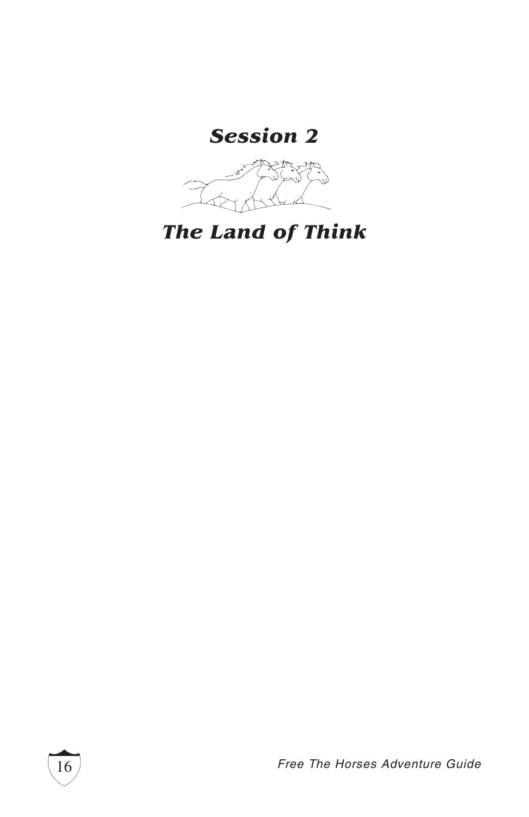

# *The Land of Think*



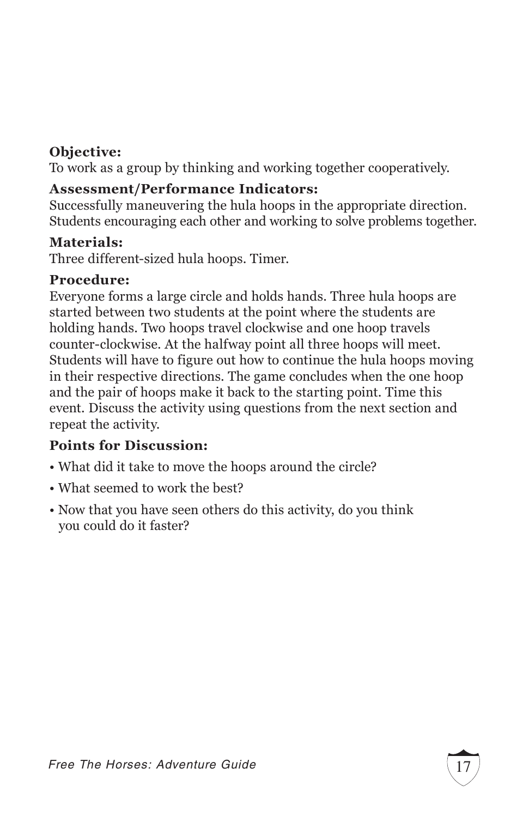To work as a group by thinking and working together cooperatively.

#### **Assessment/Performance Indicators:**

Successfully maneuvering the hula hoops in the appropriate direction. Students encouraging each other and working to solve problems together.

#### **Materials:**

Three different-sized hula hoops. Timer.

#### **Procedure:**

Everyone forms a large circle and holds hands. Three hula hoops are started between two students at the point where the students are holding hands. Two hoops travel clockwise and one hoop travels counter-clockwise. At the halfway point all three hoops will meet. Students will have to figure out how to continue the hula hoops moving in their respective directions. The game concludes when the one hoop and the pair of hoops make it back to the starting point. Time this event. Discuss the activity using questions from the next section and repeat the activity.

- What did it take to move the hoops around the circle?
- What seemed to work the best?
- Now that you have seen others do this activity, do you think you could do it faster?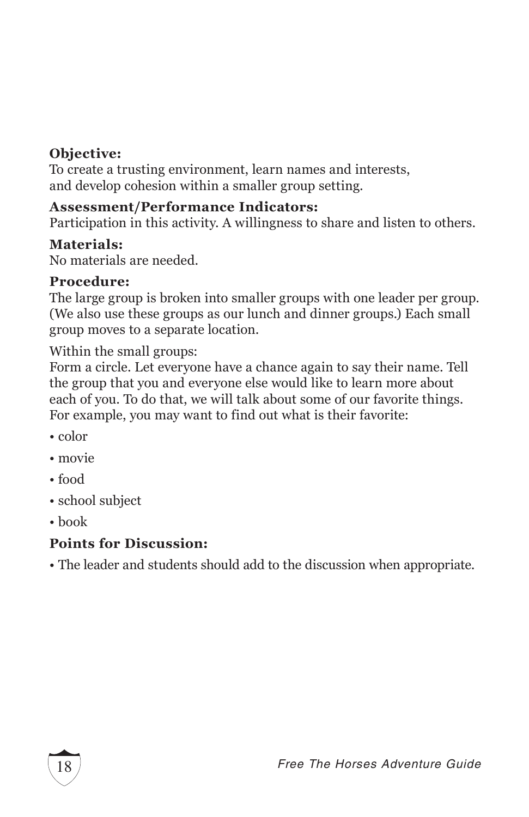To create a trusting environment, learn names and interests, and develop cohesion within a smaller group setting.

#### **Assessment/Performance Indicators:**

Participation in this activity. A willingness to share and listen to others.

#### **Materials:**

No materials are needed.

#### **Procedure:**

The large group is broken into smaller groups with one leader per group. (We also use these groups as our lunch and dinner groups.) Each small group moves to a separate location.

#### Within the small groups:

Form a circle. Let everyone have a chance again to say their name. Tell the group that you and everyone else would like to learn more about each of you. To do that, we will talk about some of our favorite things. For example, you may want to find out what is their favorite:

- color
- movie
- food
- school subject
- book

#### **Points for Discussion:**

• The leader and students should add to the discussion when appropriate.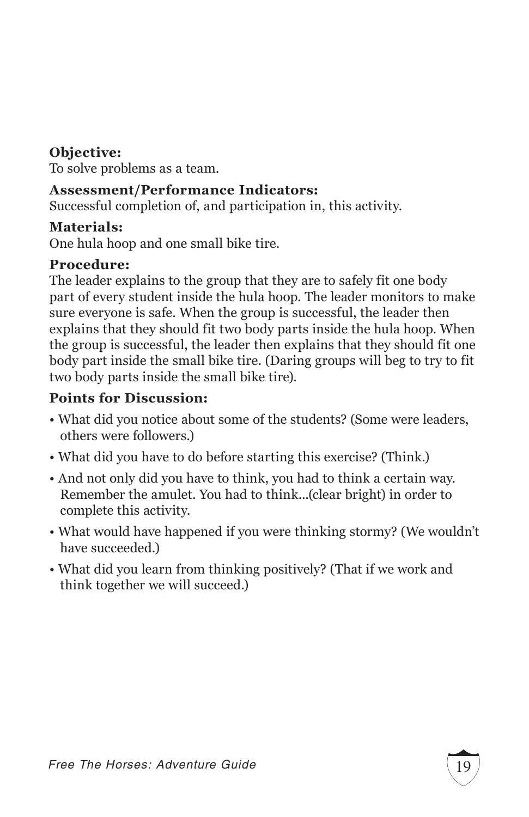To solve problems as a team.

#### **Assessment/Performance Indicators:**

Successful completion of, and participation in, this activity.

#### **Materials:**

One hula hoop and one small bike tire.

#### **Procedure:**

The leader explains to the group that they are to safely fit one body part of every student inside the hula hoop. The leader monitors to make sure everyone is safe. When the group is successful, the leader then explains that they should fit two body parts inside the hula hoop. When the group is successful, the leader then explains that they should fit one body part inside the small bike tire. (Daring groups will beg to try to fit two body parts inside the small bike tire).

- What did you notice about some of the students? (Some were leaders, others were followers.)
- What did you have to do before starting this exercise? (Think.)
- And not only did you have to think, you had to think a certain way. Remember the amulet. You had to think...(clear bright) in order to complete this activity.
- What would have happened if you were thinking stormy? (We wouldn't have succeeded.)
- What did you learn from thinking positively? (That if we work and think together we will succeed.)

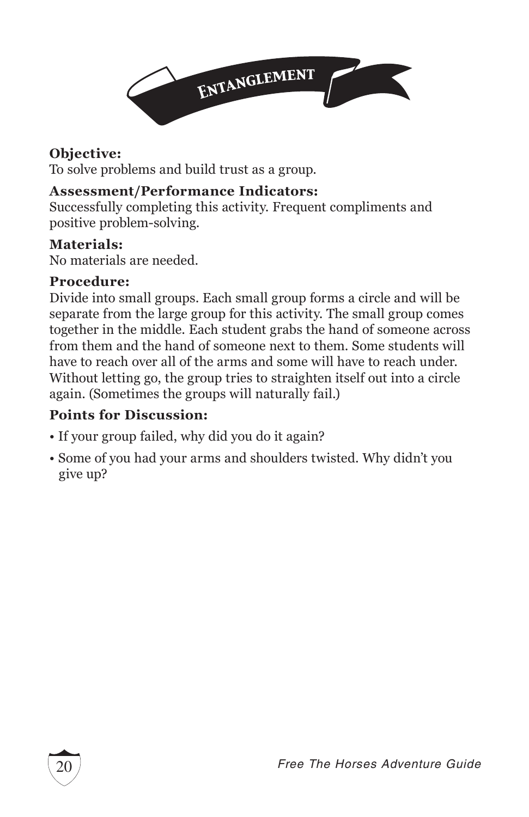

To solve problems and build trust as a group.

#### **Assessment/Performance Indicators:**

Successfully completing this activity. Frequent compliments and positive problem-solving.

#### **Materials:**

No materials are needed.

#### **Procedure:**

Divide into small groups. Each small group forms a circle and will be separate from the large group for this activity. The small group comes together in the middle. Each student grabs the hand of someone across from them and the hand of someone next to them. Some students will have to reach over all of the arms and some will have to reach under. Without letting go, the group tries to straighten itself out into a circle again. (Sometimes the groups will naturally fail.)

- If your group failed, why did you do it again?
- Some of you had your arms and shoulders twisted. Why didn't you give up?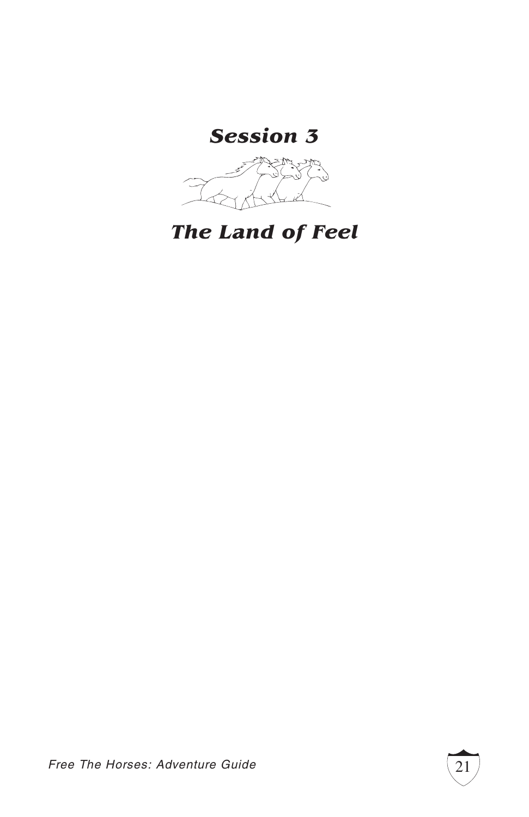



# *The Land of Feel*

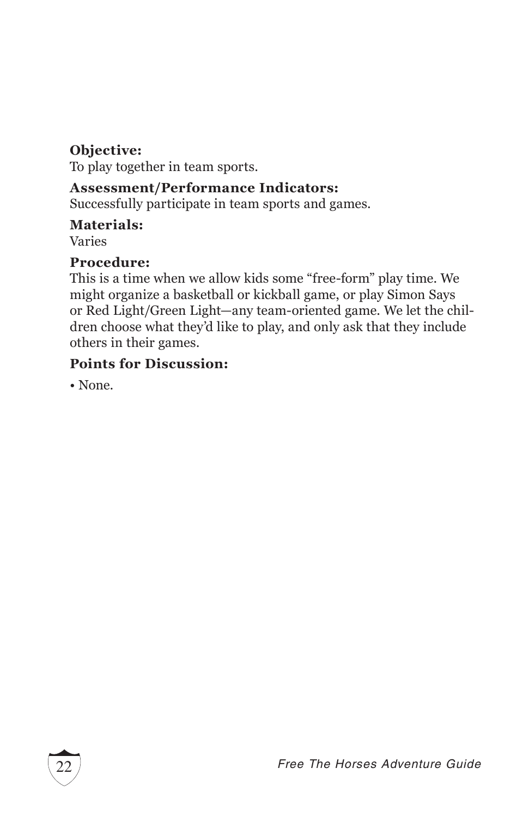To play together in team sports.

#### **Assessment/Performance Indicators:**

Successfully participate in team sports and games.

#### **Materials:**

Varies

#### **Procedure:**

This is a time when we allow kids some "free-form" play time. We might organize a basketball or kickball game, or play Simon Says or Red Light/Green Light—any team-oriented game. We let the children choose what they'd like to play, and only ask that they include others in their games.

#### **Points for Discussion:**

• None.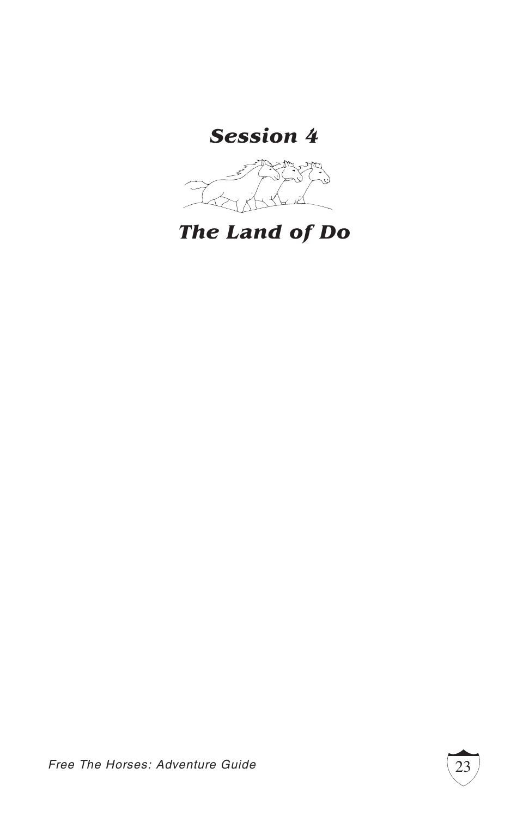

# *The Land of Do*

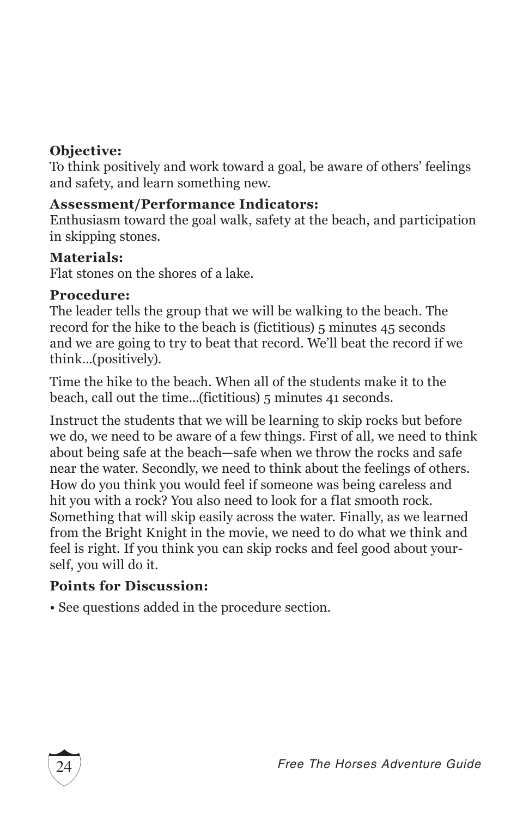To think positively and work toward a goal, be aware of others' feelings and safety, and learn something new.

#### **Assessment/Performance Indicators:**

Enthusiasm toward the goal walk, safety at the beach, and participation in skipping stones.

#### **Materials:**

Flat stones on the shores of a lake.

#### **Procedure:**

The leader tells the group that we will be walking to the beach. The record for the hike to the beach is (fictitious) 5 minutes 45 seconds and we are going to try to beat that record. We'll beat the record if we think...(positively).

Time the hike to the beach. When all of the students make it to the beach, call out the time...(fictitious) 5 minutes 41 seconds.

Instruct the students that we will be learning to skip rocks but before we do, we need to be aware of a few things. First of all, we need to think about being safe at the beach—safe when we throw the rocks and safe near the water. Secondly, we need to think about the feelings of others. How do you think you would feel if someone was being careless and hit you with a rock? You also need to look for a flat smooth rock. Something that will skip easily across the water. Finally, as we learned from the Bright Knight in the movie, we need to do what we think and feel is right. If you think you can skip rocks and feel good about yourself, you will do it.

#### **Points for Discussion:**

• See questions added in the procedure section.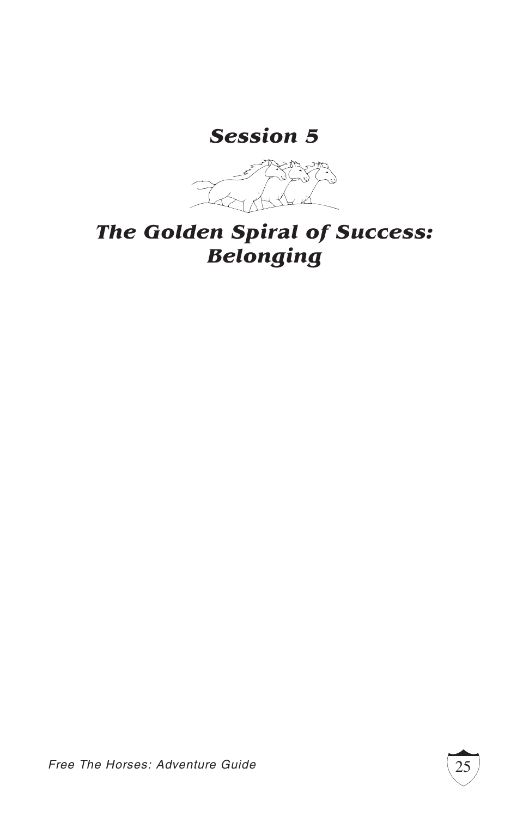

# *The Golden Spiral of Success: Belonging*

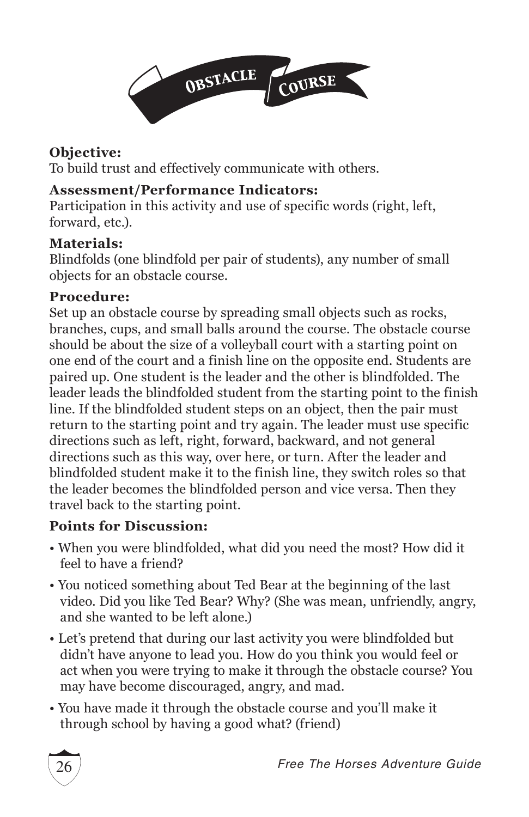

To build trust and effectively communicate with others.

#### **Assessment/Performance Indicators:**

Participation in this activity and use of specific words (right, left, forward, etc.).

#### **Materials:**

Blindfolds (one blindfold per pair of students), any number of small objects for an obstacle course.

#### **Procedure:**

Set up an obstacle course by spreading small objects such as rocks, branches, cups, and small balls around the course. The obstacle course should be about the size of a volleyball court with a starting point on one end of the court and a finish line on the opposite end. Students are paired up. One student is the leader and the other is blindfolded. The leader leads the blindfolded student from the starting point to the finish line. If the blindfolded student steps on an object, then the pair must return to the starting point and try again. The leader must use specific directions such as left, right, forward, backward, and not general directions such as this way, over here, or turn. After the leader and blindfolded student make it to the finish line, they switch roles so that the leader becomes the blindfolded person and vice versa. Then they travel back to the starting point.

- When you were blindfolded, what did you need the most? How did it feel to have a friend?
- You noticed something about Ted Bear at the beginning of the last video. Did you like Ted Bear? Why? (She was mean, unfriendly, angry, and she wanted to be left alone.)
- Let's pretend that during our last activity you were blindfolded but didn't have anyone to lead you. How do you think you would feel or act when you were trying to make it through the obstacle course? You may have become discouraged, angry, and mad.
- You have made it through the obstacle course and you'll make it through school by having a good what? (friend)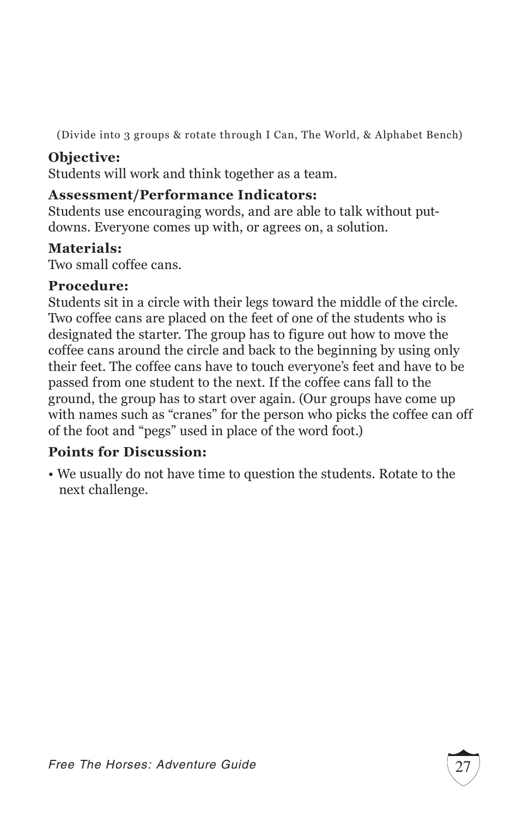(Divide into 3 groups & rotate through I Can, The World, & Alphabet Bench)

#### **Objective:**

Students will work and think together as a team.

#### **Assessment/Performance Indicators:**

Students use encouraging words, and are able to talk without putdowns. Everyone comes up with, or agrees on, a solution.

#### **Materials:**

Two small coffee cans.

#### **Procedure:**

Students sit in a circle with their legs toward the middle of the circle. Two coffee cans are placed on the feet of one of the students who is designated the starter. The group has to figure out how to move the coffee cans around the circle and back to the beginning by using only their feet. The coffee cans have to touch everyone's feet and have to be passed from one student to the next. If the coffee cans fall to the ground, the group has to start over again. (Our groups have come up with names such as "cranes" for the person who picks the coffee can off of the foot and "pegs" used in place of the word foot.)

#### **Points for Discussion:**

• We usually do not have time to question the students. Rotate to the next challenge.

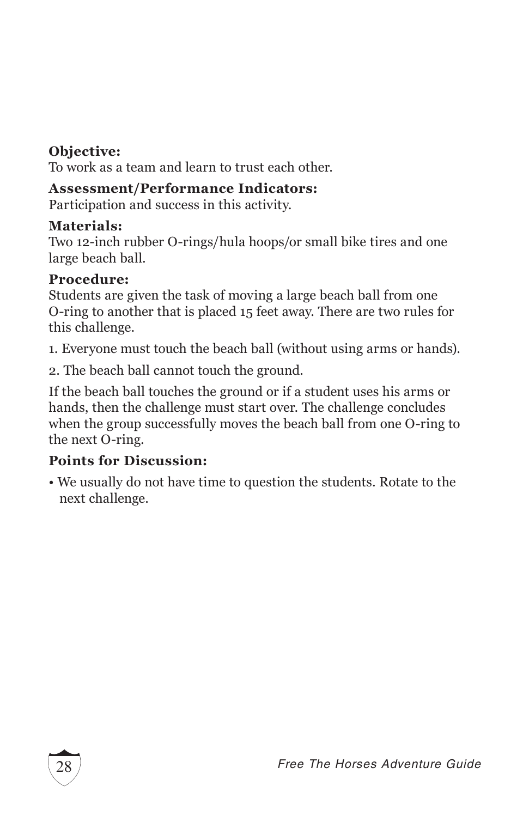To work as a team and learn to trust each other.

#### **Assessment/Performance Indicators:**

Participation and success in this activity.

#### **Materials:**

Two 12-inch rubber O-rings/hula hoops/or small bike tires and one large beach ball.

#### **Procedure:**

Students are given the task of moving a large beach ball from one O-ring to another that is placed 15 feet away. There are two rules for this challenge.

1. Everyone must touch the beach ball (without using arms or hands).

2. The beach ball cannot touch the ground.

If the beach ball touches the ground or if a student uses his arms or hands, then the challenge must start over. The challenge concludes when the group successfully moves the beach ball from one O-ring to the next O-ring.

#### **Points for Discussion:**

• We usually do not have time to question the students. Rotate to the next challenge.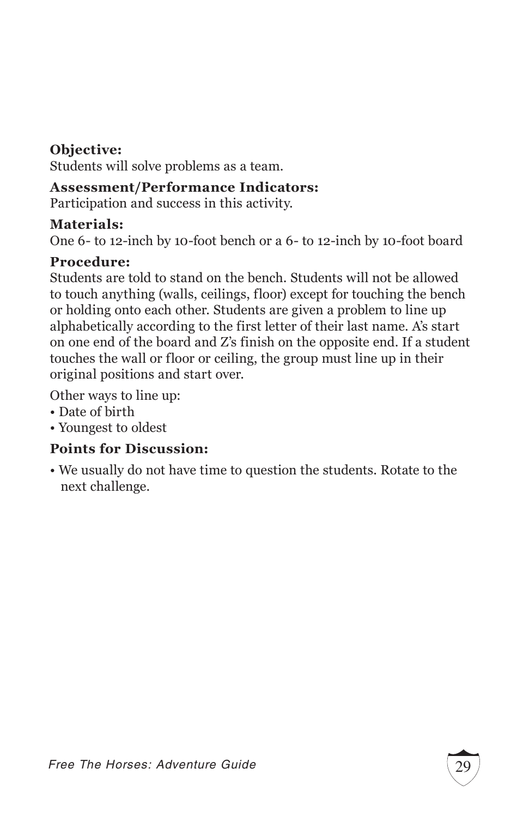Students will solve problems as a team.

#### **Assessment/Performance Indicators:**

Participation and success in this activity.

#### **Materials:**

One 6- to 12-inch by 10-foot bench or a 6- to 12-inch by 10-foot board

#### **Procedure:**

Students are told to stand on the bench. Students will not be allowed to touch anything (walls, ceilings, floor) except for touching the bench or holding onto each other. Students are given a problem to line up alphabetically according to the first letter of their last name. A's start on one end of the board and Z's finish on the opposite end. If a student touches the wall or floor or ceiling, the group must line up in their original positions and start over.

Other ways to line up:

- Date of birth
- Youngest to oldest

#### **Points for Discussion:**

• We usually do not have time to question the students. Rotate to the next challenge.

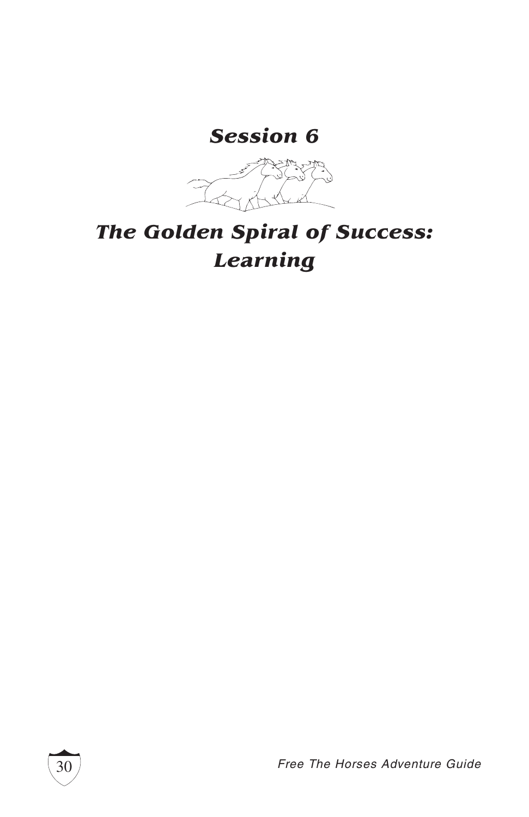

# *The Golden Spiral of Success: Learning*

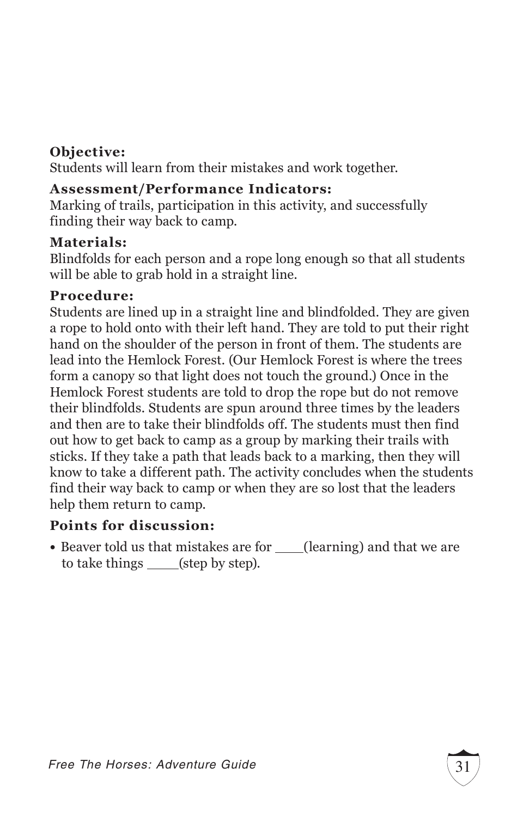Students will learn from their mistakes and work together.

#### **Assessment/Performance Indicators:**

Marking of trails, participation in this activity, and successfully finding their way back to camp.

#### **Materials:**

Blindfolds for each person and a rope long enough so that all students will be able to grab hold in a straight line.

#### **Procedure:**

Students are lined up in a straight line and blindfolded. They are given a rope to hold onto with their left hand. They are told to put their right hand on the shoulder of the person in front of them. The students are lead into the Hemlock Forest. (Our Hemlock Forest is where the trees form a canopy so that light does not touch the ground.) Once in the Hemlock Forest students are told to drop the rope but do not remove their blindfolds. Students are spun around three times by the leaders and then are to take their blindfolds off. The students must then find out how to get back to camp as a group by marking their trails with sticks. If they take a path that leads back to a marking, then they will know to take a different path. The activity concludes when the students find their way back to camp or when they are so lost that the leaders help them return to camp.

#### **Points for discussion:**

• Beaver told us that mistakes are for \_\_\_(learning) and that we are to take things \_\_\_\_\_(step by step).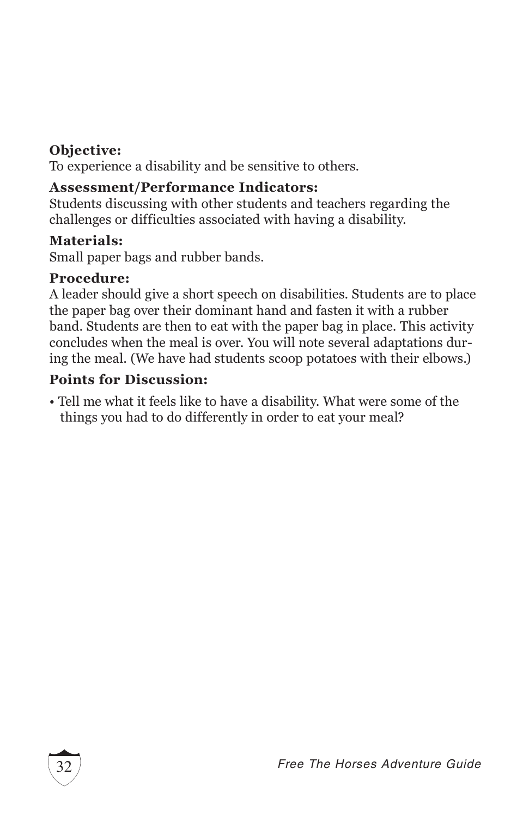To experience a disability and be sensitive to others.

#### **Assessment/Performance Indicators:**

Students discussing with other students and teachers regarding the challenges or difficulties associated with having a disability.

#### **Materials:**

Small paper bags and rubber bands.

#### **Procedure:**

A leader should give a short speech on disabilities. Students are to place the paper bag over their dominant hand and fasten it with a rubber band. Students are then to eat with the paper bag in place. This activity concludes when the meal is over. You will note several adaptations during the meal. (We have had students scoop potatoes with their elbows.)

#### **Points for Discussion:**

• Tell me what it feels like to have a disability. What were some of the things you had to do differently in order to eat your meal?

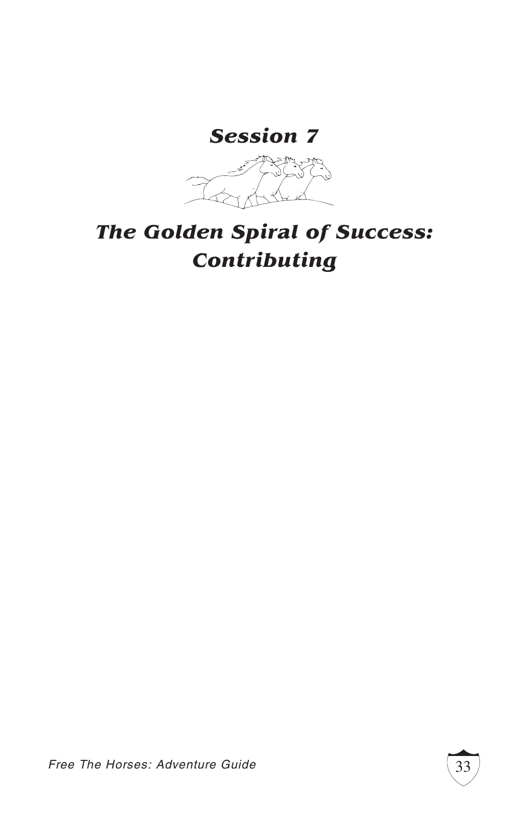

# *The Golden Spiral of Success: Contributing*

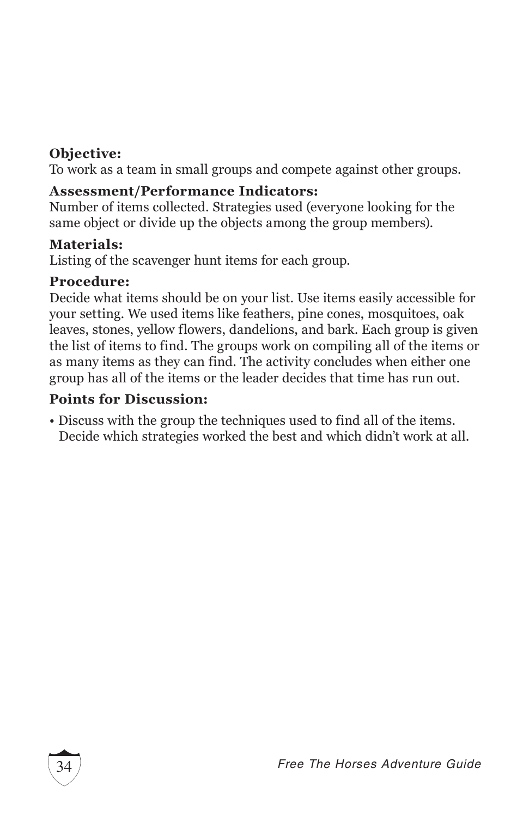To work as a team in small groups and compete against other groups.

#### **Assessment/Performance Indicators:**

Number of items collected. Strategies used (everyone looking for the same object or divide up the objects among the group members).

#### **Materials:**

Listing of the scavenger hunt items for each group.

#### **Procedure:**

Decide what items should be on your list. Use items easily accessible for your setting. We used items like feathers, pine cones, mosquitoes, oak leaves, stones, yellow flowers, dandelions, and bark. Each group is given the list of items to find. The groups work on compiling all of the items or as many items as they can find. The activity concludes when either one group has all of the items or the leader decides that time has run out.

#### **Points for Discussion:**

• Discuss with the group the techniques used to find all of the items. Decide which strategies worked the best and which didn't work at all.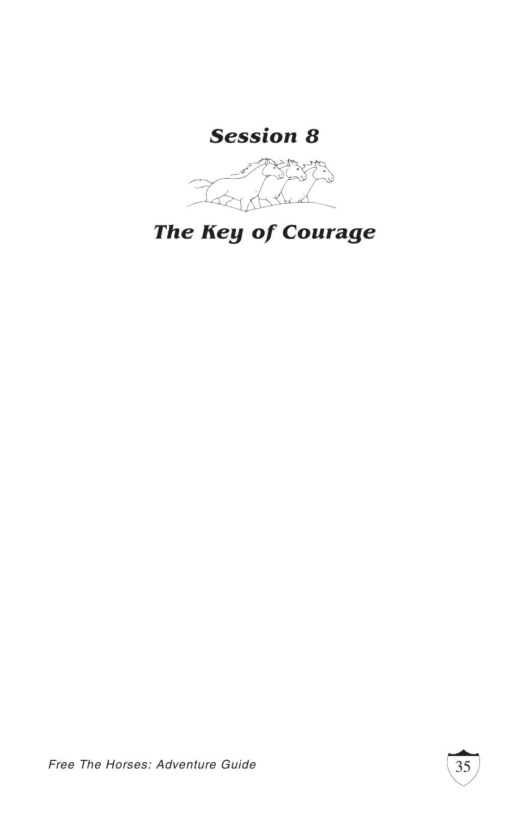

# *The Key of Courage*

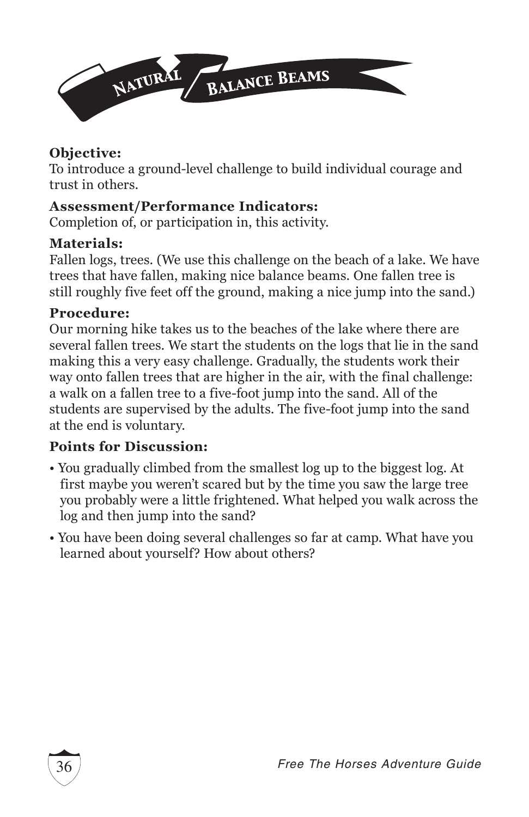

To introduce a ground-level challenge to build individual courage and trust in others.

#### **Assessment/Performance Indicators:**

Completion of, or participation in, this activity.

#### **Materials:**

Fallen logs, trees. (We use this challenge on the beach of a lake. We have trees that have fallen, making nice balance beams. One fallen tree is still roughly five feet off the ground, making a nice jump into the sand.)

#### **Procedure:**

Our morning hike takes us to the beaches of the lake where there are several fallen trees. We start the students on the logs that lie in the sand making this a very easy challenge. Gradually, the students work their way onto fallen trees that are higher in the air, with the final challenge: a walk on a fallen tree to a five-foot jump into the sand. All of the students are supervised by the adults. The five-foot jump into the sand at the end is voluntary.

- You gradually climbed from the smallest log up to the biggest log. At first maybe you weren't scared but by the time you saw the large tree you probably were a little frightened. What helped you walk across the log and then jump into the sand?
- You have been doing several challenges so far at camp. What have you learned about yourself? How about others?

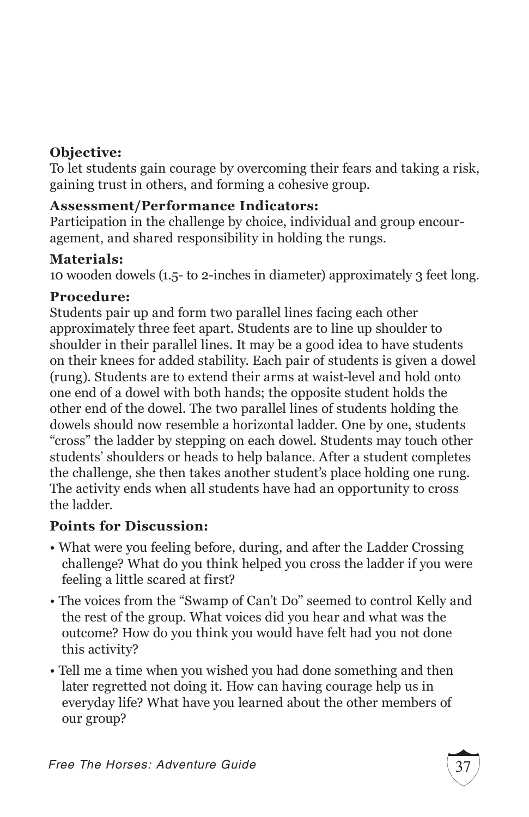To let students gain courage by overcoming their fears and taking a risk, gaining trust in others, and forming a cohesive group.

#### **Assessment/Performance Indicators:**

Participation in the challenge by choice, individual and group encouragement, and shared responsibility in holding the rungs.

#### **Materials:**

10 wooden dowels (1.5- to 2-inches in diameter) approximately 3 feet long.

#### **Procedure:**

Students pair up and form two parallel lines facing each other approximately three feet apart. Students are to line up shoulder to shoulder in their parallel lines. It may be a good idea to have students on their knees for added stability. Each pair of students is given a dowel (rung). Students are to extend their arms at waist-level and hold onto one end of a dowel with both hands; the opposite student holds the other end of the dowel. The two parallel lines of students holding the dowels should now resemble a horizontal ladder. One by one, students "cross" the ladder by stepping on each dowel. Students may touch other students' shoulders or heads to help balance. After a student completes the challenge, she then takes another student's place holding one rung. The activity ends when all students have had an opportunity to cross the ladder.

- What were you feeling before, during, and after the Ladder Crossing challenge? What do you think helped you cross the ladder if you were feeling a little scared at first?
- The voices from the "Swamp of Can't Do" seemed to control Kelly and the rest of the group. What voices did you hear and what was the outcome? How do you think you would have felt had you not done this activity?
- Tell me a time when you wished you had done something and then later regretted not doing it. How can having courage help us in everyday life? What have you learned about the other members of our group?

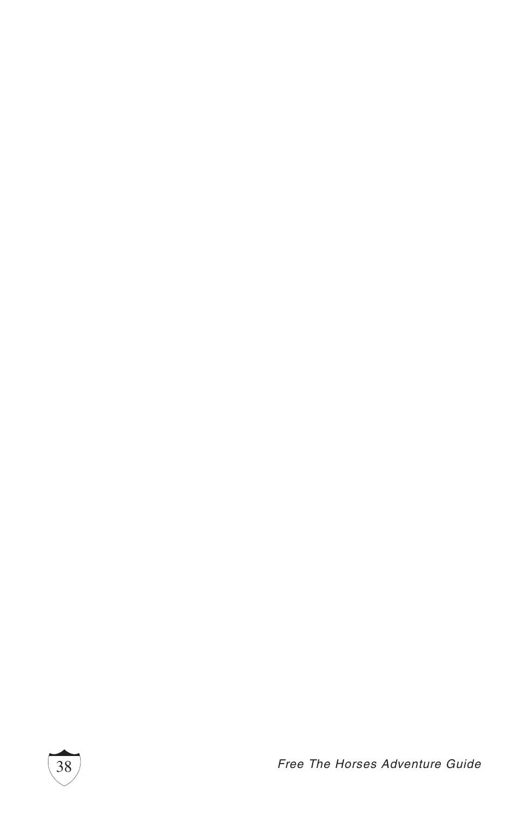

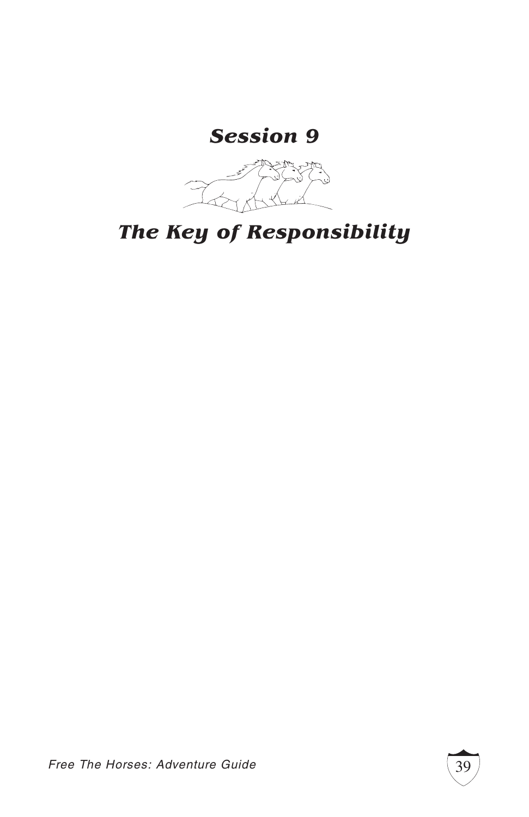

# *The Key of Responsibility*

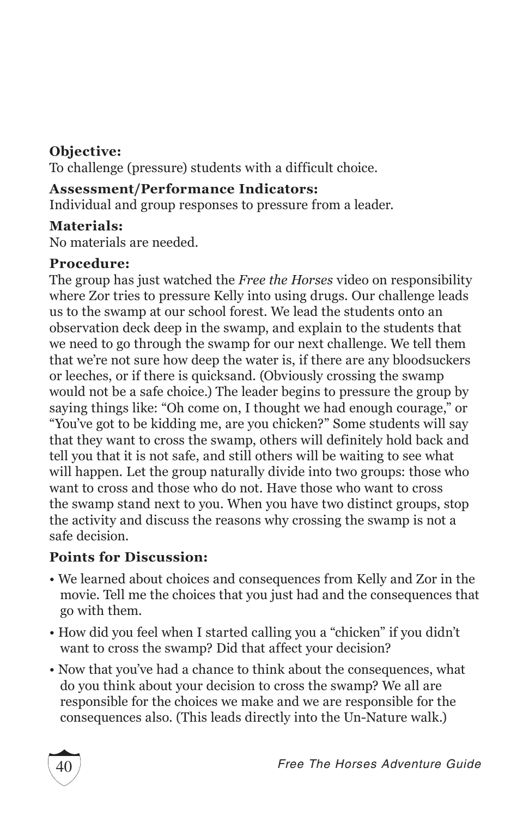To challenge (pressure) students with a difficult choice.

#### **Assessment/Performance Indicators:**

Individual and group responses to pressure from a leader.

#### **Materials:**

No materials are needed.

#### **Procedure:**

The group has just watched the *Free the Horses* video on responsibility where Zor tries to pressure Kelly into using drugs. Our challenge leads us to the swamp at our school forest. We lead the students onto an observation deck deep in the swamp, and explain to the students that we need to go through the swamp for our next challenge. We tell them that we're not sure how deep the water is, if there are any bloodsuckers or leeches, or if there is quicksand. (Obviously crossing the swamp would not be a safe choice.) The leader begins to pressure the group by saying things like: "Oh come on, I thought we had enough courage," or "You've got to be kidding me, are you chicken?" Some students will say that they want to cross the swamp, others will definitely hold back and tell you that it is not safe, and still others will be waiting to see what will happen. Let the group naturally divide into two groups: those who want to cross and those who do not. Have those who want to cross the swamp stand next to you. When you have two distinct groups, stop the activity and discuss the reasons why crossing the swamp is not a safe decision.

- We learned about choices and consequences from Kelly and Zor in the movie. Tell me the choices that you just had and the consequences that go with them.
- How did you feel when I started calling you a "chicken" if you didn't want to cross the swamp? Did that affect your decision?
- Now that you've had a chance to think about the consequences, what do you think about your decision to cross the swamp? We all are responsible for the choices we make and we are responsible for the consequences also. (This leads directly into the Un-Nature walk.)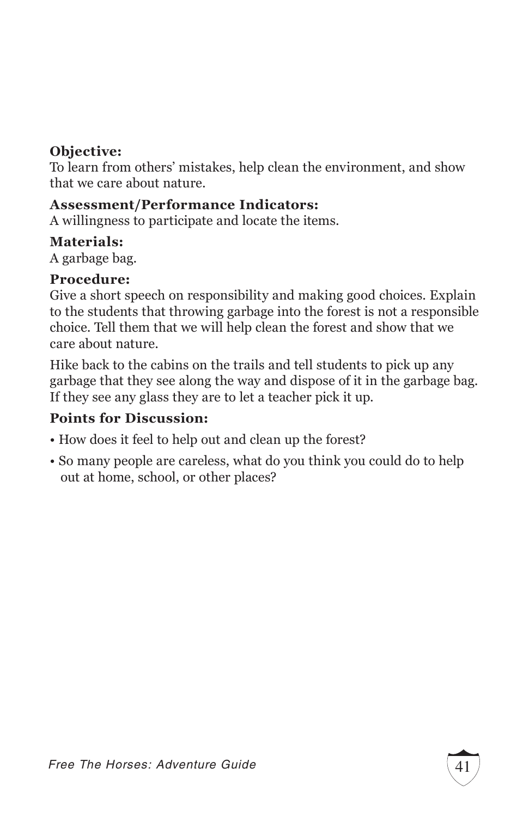To learn from others' mistakes, help clean the environment, and show that we care about nature.

#### **Assessment/Performance Indicators:**

A willingness to participate and locate the items.

#### **Materials:**

A garbage bag.

#### **Procedure:**

Give a short speech on responsibility and making good choices. Explain to the students that throwing garbage into the forest is not a responsible choice. Tell them that we will help clean the forest and show that we care about nature.

Hike back to the cabins on the trails and tell students to pick up any garbage that they see along the way and dispose of it in the garbage bag. If they see any glass they are to let a teacher pick it up.

- How does it feel to help out and clean up the forest?
- So many people are careless, what do you think you could do to help out at home, school, or other places?

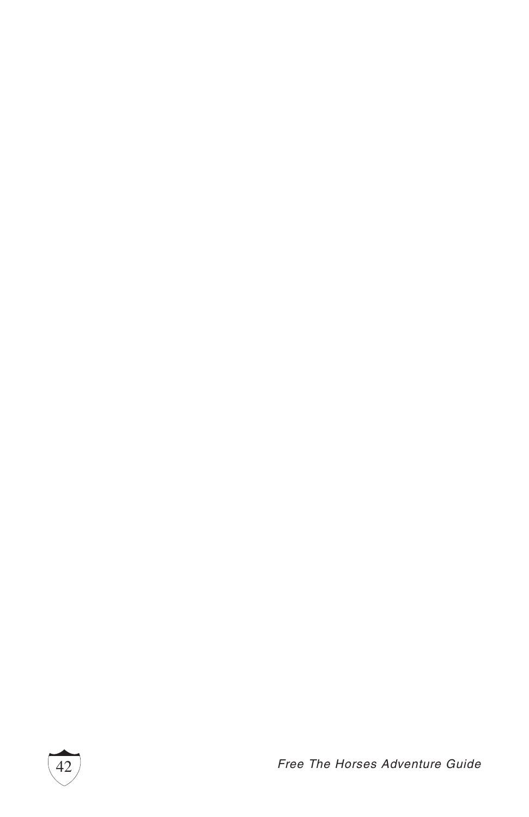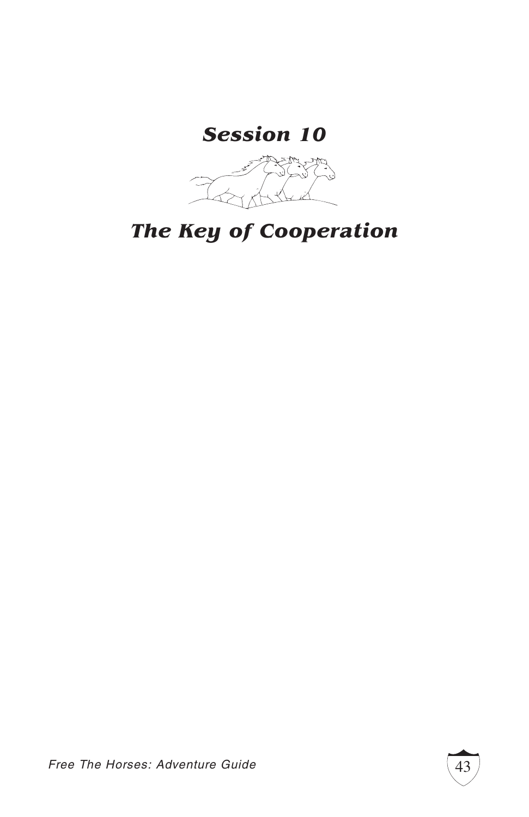

# *The Key of Cooperation*

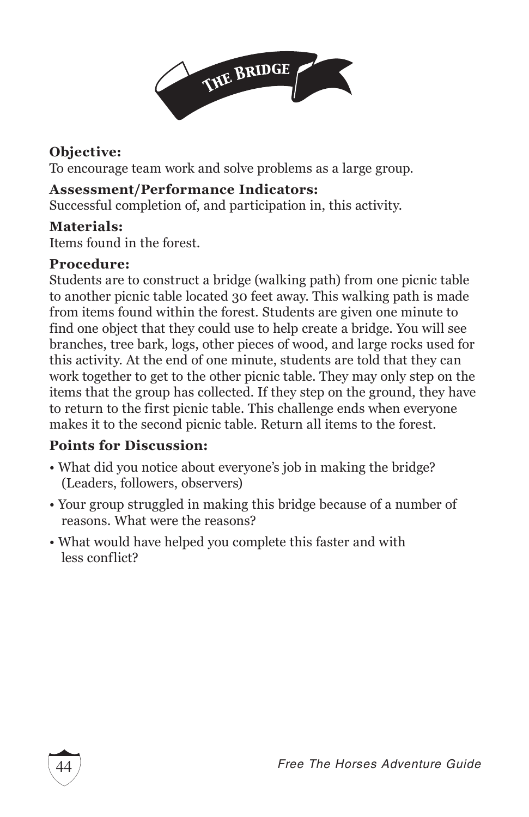

To encourage team work and solve problems as a large group.

#### **Assessment/Performance Indicators:**

Successful completion of, and participation in, this activity.

#### **Materials:**

Items found in the forest.

#### **Procedure:**

Students are to construct a bridge (walking path) from one picnic table to another picnic table located 30 feet away. This walking path is made from items found within the forest. Students are given one minute to find one object that they could use to help create a bridge. You will see branches, tree bark, logs, other pieces of wood, and large rocks used for this activity. At the end of one minute, students are told that they can work together to get to the other picnic table. They may only step on the items that the group has collected. If they step on the ground, they have to return to the first picnic table. This challenge ends when everyone makes it to the second picnic table. Return all items to the forest.

- What did you notice about everyone's job in making the bridge? (Leaders, followers, observers)
- Your group struggled in making this bridge because of a number of reasons. What were the reasons?
- What would have helped you complete this faster and with less conflict?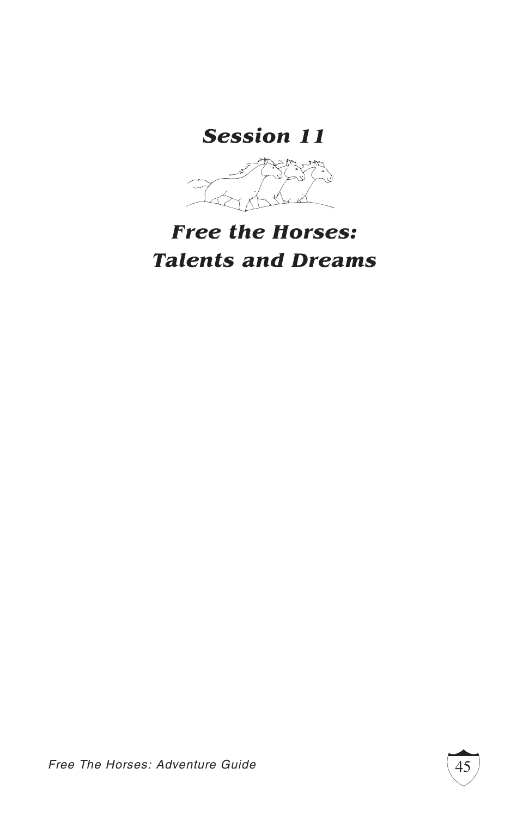

# *Free the Horses: Talents and Dreams*

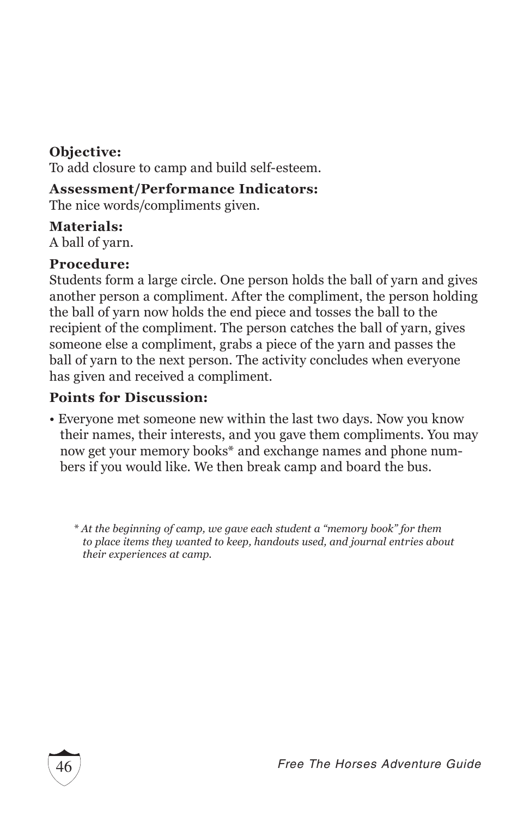To add closure to camp and build self-esteem.

#### **Assessment/Performance Indicators:**

The nice words/compliments given.

#### **Materials:**

A ball of yarn.

#### **Procedure:**

Students form a large circle. One person holds the ball of yarn and gives another person a compliment. After the compliment, the person holding the ball of yarn now holds the end piece and tosses the ball to the recipient of the compliment. The person catches the ball of yarn, gives someone else a compliment, grabs a piece of the yarn and passes the ball of yarn to the next person. The activity concludes when everyone has given and received a compliment.

#### **Points for Discussion:**

• Everyone met someone new within the last two days. Now you know their names, their interests, and you gave them compliments. You may now get your memory books\* and exchange names and phone numbers if you would like. We then break camp and board the bus.

*\* At the beginning of camp, we gave each student a "memory book" for them to place items they wanted to keep, handouts used, and journal entries about their experiences at camp.*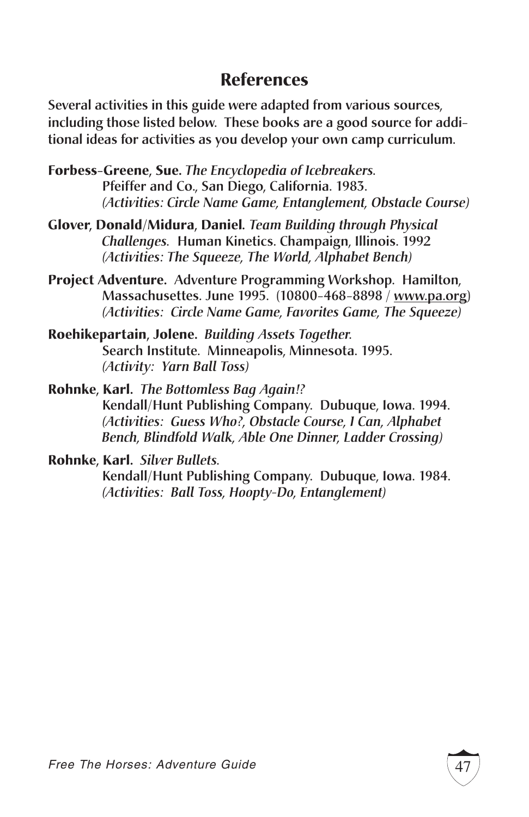#### **References**

Several activities in this guide were adapted from various sources, including those listed below. These books are a good source for additional ideas for activities as you develop your own camp curriculum.

**Forbess-Greene, Sue.** *The Encyclopedia of Icebreakers.* Pfeiffer and Co., San Diego, California. 1983. *(Activities: Circle Name Game, Entanglement, Obstacle Course)*

**Glover, Donald/Midura, Daniel***. Team Building through Physical Challenges.* Human Kinetics. Champaign, Illinois. 1992 *(Activities: The Squeeze, The World, Alphabet Bench)*

**Project Adventure.**Adventure Programming Workshop. Hamilton, Massachusettes. June 1995. (10800-468-8898 / www.pa.org) *(Activities: Circle Name Game, Favorites Game, The Squeeze)*

**Roehikepartain, Jolene.** *Building Assets Together.* Search Institute. Minneapolis, Minnesota. 1995. *(Activity: Yarn Ball Toss)*

**Rohnke, Karl.** *The Bottomless Bag Again!?* Kendall/Hunt Publishing Company. Dubuque, Iowa. 1994. *(Activities: Guess Who?, Obstacle Course, I Can, Alphabet Bench, Blindfold Walk, Able One Dinner, Ladder Crossing)*

#### **Rohnke, Karl.** *Silver Bullets.*

Kendall/Hunt Publishing Company. Dubuque, Iowa. 1984. *(Activities: Ball Toss, Hoopty-Do, Entanglement)*